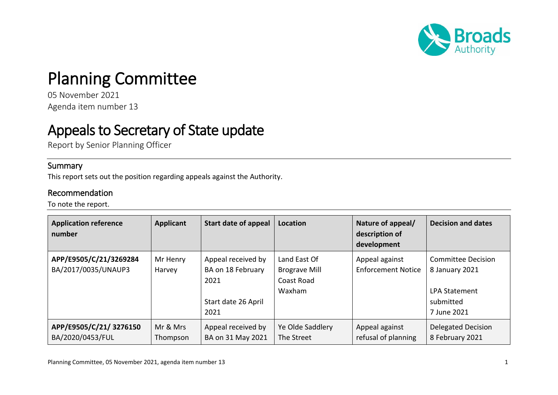

## Planning Committee

05 November 2021 Agenda item number 13

## Appeals to Secretary of State update

Report by Senior Planning Officer

## **Summary**

This report sets out the position regarding appeals against the Authority.

## Recommendation

To note the report.

| <b>Application reference</b><br>number        | <b>Applicant</b>     | Start date of appeal                                                           | Location                                                     | Nature of appeal/<br>description of<br>development | <b>Decision and dates</b>                                                                       |
|-----------------------------------------------|----------------------|--------------------------------------------------------------------------------|--------------------------------------------------------------|----------------------------------------------------|-------------------------------------------------------------------------------------------------|
| APP/E9505/C/21/3269284<br>BA/2017/0035/UNAUP3 | Mr Henry<br>Harvey   | Appeal received by<br>BA on 18 February<br>2021<br>Start date 26 April<br>2021 | Land East Of<br><b>Brograve Mill</b><br>Coast Road<br>Waxham | Appeal against<br><b>Enforcement Notice</b>        | <b>Committee Decision</b><br>8 January 2021<br><b>LPA Statement</b><br>submitted<br>7 June 2021 |
| APP/E9505/C/21/3276150<br>BA/2020/0453/FUL    | Mr & Mrs<br>Thompson | Appeal received by<br>BA on 31 May 2021                                        | Ye Olde Saddlery<br>The Street                               | Appeal against<br>refusal of planning              | <b>Delegated Decision</b><br>8 February 2021                                                    |